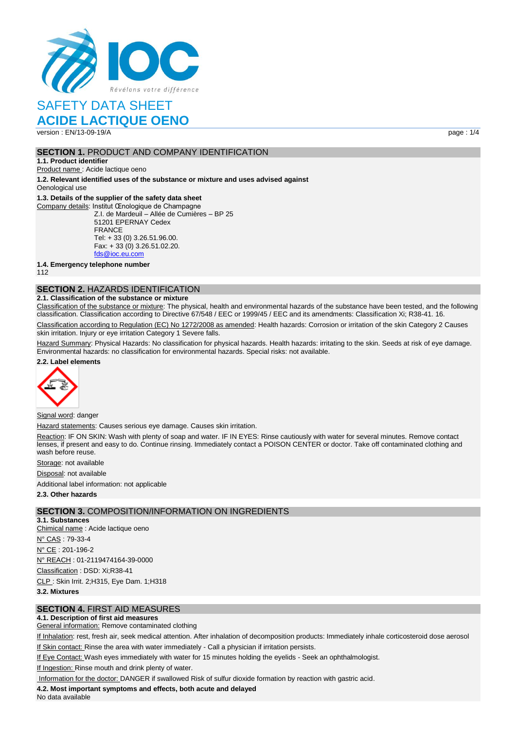

## SAFETY DATA SHEET

## **ACIDE LACTIQUE OENO**

version : EN/13-09-19/A page : 1/4

### **SECTION 1. PRODUCT AND COMPANY IDENTIFICATION**

**1.1. Product identifier**

Product name : Acide lactique oeno

**1.2. Relevant identified uses of the substance or mixture and uses advised against** Oenological use

#### **1.3. Details of the supplier of the safety data sheet**

Company details: Institut Œnologique de Champagne Z.I. de Mardeuil – Allée de Cumières – BP 25 51201 EPERNAY Cedex FRANCE Tel: + 33 (0) 3.26.51.96.00. Fax: + 33 (0) 3.26.51.02.20. [fds@ioc.eu.com](mailto:fds@ioc.eu.com)

**1.4. Emergency telephone number**

112

## **SECTION 2.** HAZARDS IDENTIFICATION

#### **2.1. Classification of the substance or mixture**

Classification of the substance or mixture: The physical, health and environmental hazards of the substance have been tested, and the following classification. Classification according to Directive 67/548 / EEC or 1999/45 / EEC and its amendments: Classification Xi; R38-41. 16.

Classification according to Regulation (EC) No 1272/2008 as amended: Health hazards: Corrosion or irritation of the skin Category 2 Causes skin irritation. Injury or eye irritation Category 1 Severe falls.

Hazard Summary: Physical Hazards: No classification for physical hazards. Health hazards: irritating to the skin. Seeds at risk of eye damage. Environmental hazards: no classification for environmental hazards. Special risks: not available.

#### **2.2. Label elements**



#### Signal word: danger

Hazard statements: Causes serious eye damage. Causes skin irritation.

Reaction: IF ON SKIN: Wash with plenty of soap and water. IF IN EYES: Rinse cautiously with water for several minutes. Remove contact lenses, if present and easy to do. Continue rinsing. Immediately contact a POISON CENTER or doctor. Take off contaminated clothing and wash before reuse.

Storage: not available

Disposal: not available

Additional label information: not applicable

**2.3. Other hazards**

#### **SECTION 3.** COMPOSITION/INFORMATION ON INGREDIENTS

**3.1. Substances** Chimical name : Acide lactique oeno N° CAS : 79-33-4 N° CE : 201-196-2 N° REACH : 01-2119474164-39-0000 Classification : DSD: Xi;R38-41 CLP : Skin Irrit. 2;H315, Eye Dam. 1;H318 **3.2. Mixtures**

**SECTION 4.** FIRST AID MEASURES

## **4.1. Description of first aid measures**

General information: Remove contaminated clothing

If Inhalation: rest, fresh air, seek medical attention. After inhalation of decomposition products: Immediately inhale corticosteroid dose aerosol If Skin contact: Rinse the area with water immediately - Call a physician if irritation persists.

If Eye Contact: Wash eyes immediately with water for 15 minutes holding the eyelids - Seek an ophthalmologist.

If Ingestion: Rinse mouth and drink plenty of water.

Information for the doctor: DANGER if swallowed Risk of sulfur dioxide formation by reaction with gastric acid.

#### **4.2. Most important symptoms and effects, both acute and delayed**

No data available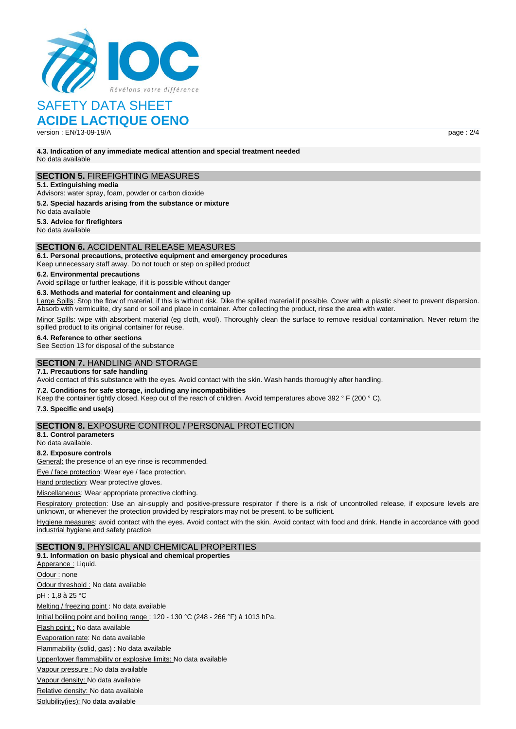

## SAFETY DATA SHEET

## **ACIDE LACTIQUE OENO**

version : EN/13-09-19/A page : 2/4

**4.3. Indication of any immediate medical attention and special treatment needed** No data available

### **SECTION 5.** FIREFIGHTING MEASURES

**5.1. Extinguishing media**

Advisors: water spray, foam, powder or carbon dioxide

#### **5.2. Special hazards arising from the substance or mixture**

No data available

**5.3. Advice for firefighters**

No data available

#### **SECTION 6.** ACCIDENTAL RELEASE MEASURES

**6.1. Personal precautions, protective equipment and emergency procedures** Keep unnecessary staff away. Do not touch or step on spilled product

## **6.2. Environmental precautions**

Avoid spillage or further leakage, if it is possible without danger

#### **6.3. Methods and material for containment and cleaning up**

Large Spills: Stop the flow of material, if this is without risk. Dike the spilled material if possible. Cover with a plastic sheet to prevent dispersion. Absorb with vermiculite, dry sand or soil and place in container. After collecting the product, rinse the area with water.

Minor Spills: wipe with absorbent material (eg cloth, wool). Thoroughly clean the surface to remove residual contamination. Never return the spilled product to its original container for reuse.

#### **6.4. Reference to other sections**

See Section 13 for disposal of the substance

### **SECTION 7.** HANDLING AND STORAGE

**7.1. Precautions for safe handling**

Avoid contact of this substance with the eyes. Avoid contact with the skin. Wash hands thoroughly after handling.

#### **7.2. Conditions for safe storage, including any incompatibilities**

Keep the container tightly closed. Keep out of the reach of children. Avoid temperatures above 392 ° F (200 ° C).

**7.3. Specific end use(s)**

### **SECTION 8.** EXPOSURE CONTROL / PERSONAL PROTECTION

**8.1. Control parameters**

## No data available.

**8.2. Exposure controls**

General: the presence of an eye rinse is recommended.

Eye / face protection: Wear eye / face protection.

Hand protection: Wear protective gloves.

Miscellaneous: Wear appropriate protective clothing.

Respiratory protection: Use an air-supply and positive-pressure respirator if there is a risk of uncontrolled release, if exposure levels are unknown, or whenever the protection provided by respirators may not be present. to be sufficient.

Hygiene measures: avoid contact with the eyes. Avoid contact with the skin. Avoid contact with food and drink. Handle in accordance with good industrial hygiene and safety practice

#### **SECTION 9.** PHYSICAL AND CHEMICAL PROPERTIES

**9.1. Information on basic physical and chemical properties** Apperance : Liquid. Odour : none Odour threshold : No data available pH : 1,8 à 25 °C Melting / freezing point : No data available Initial boiling point and boiling range : 120 - 130 °C (248 - 266 °F) à 1013 hPa. Flash point : No data available Evaporation rate: No data available Flammability (solid, gas) : No data available Upper/lower flammability or explosive limits: No data available Vapour pressure : No data available Vapour density: No data available Relative density: No data available Solubility(ies); No data available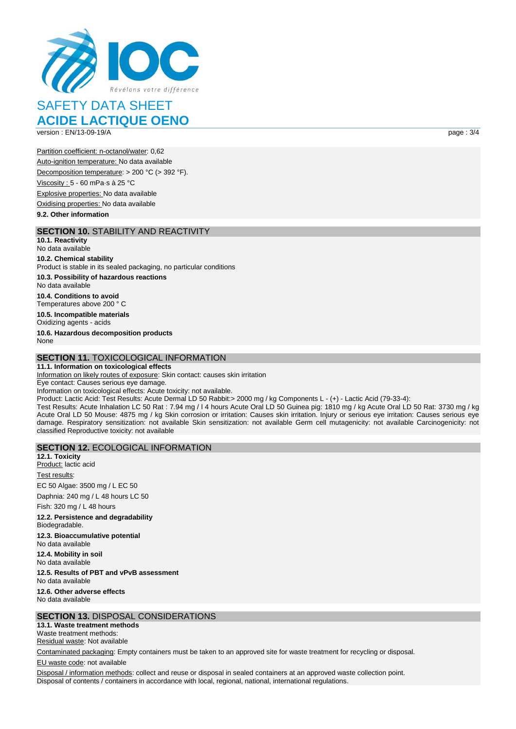

# SAFETY DATA SHEET

## **ACIDE LACTIQUE OENO**

version : EN/13-09-19/A page : 3/4

Partition coefficient: n-octanol/water: 0,62 Auto-ignition temperature: No data available Decomposition temperature: > 200 °C (> 392 °F). Viscosity : 5 - 60 mPa·s à 25 °C Explosive properties: No data available Oxidising properties: No data available

**9.2. Other information**

### **SECTION 10.** STABILITY AND REACTIVITY

**10.1. Reactivity** No data available

#### **10.2. Chemical stability**

Product is stable in its sealed packaging, no particular conditions **10.3. Possibility of hazardous reactions**

No data available

**10.4. Conditions to avoid** Temperatures above 200 ° C

**10.5. Incompatible materials** Oxidizing agents - acids

**10.6. Hazardous decomposition products** None

## **SECTION 11.** TOXICOLOGICAL INFORMATION

**11.1. Information on toxicological effects**

Information on likely routes of exposure: Skin contact: causes skin irritation

Eye contact: Causes serious eye damage. Information on toxicological effects: Acute toxicity: not available.

Product: Lactic Acid: Test Results: Acute Dermal LD 50 Rabbit:> 2000 mg / kg Components L - (+) - Lactic Acid (79-33-4):

Test Results: Acute Inhalation LC 50 Rat : 7.94 mg / l 4 hours Acute Oral LD 50 Guinea pig: 1810 mg / kg Acute Oral LD 50 Rat: 3730 mg / kg Acute Oral LD 50 Mouse: 4875 mg / kg Skin corrosion or irritation: Causes skin irritation. Injury or serious eye irritation: Causes serious eye damage. Respiratory sensitization: not available Skin sensitization: not available Germ cell mutagenicity: not available Carcinogenicity: not classified Reproductive toxicity: not available

#### **SECTION 12.** ECOLOGICAL INFORMATION

**12.1. Toxicity** Product: lactic acid Test results: EC 50 Algae: 3500 mg / L EC 50

Daphnia: 240 mg / L 48 hours LC 50

Fish: 320 mg / L 48 hours

**12.2. Persistence and degradability** Biodegradable.

**12.3. Bioaccumulative potential** No data available

**12.4. Mobility in soil**

No data available

**12.5. Results of PBT and vPvB assessment**

No data available **12.6. Other adverse effects**

No data available

## **SECTION 13.** DISPOSAL CONSIDERATIONS

**13.1. Waste treatment methods**

Waste treatment methods: Residual waste: Not available

Contaminated packaging: Empty containers must be taken to an approved site for waste treatment for recycling or disposal.

EU waste code: not available

Disposal / information methods: collect and reuse or disposal in sealed containers at an approved waste collection point. Disposal of contents / containers in accordance with local, regional, national, international regulations.